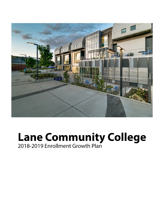

# Lane Community College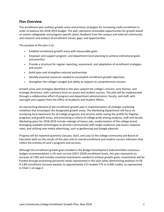# **Plan Overview**

This enrollment plan outlines growth areas and primary strategies for increasing credit enrollment in order to balance the 2018‐2019 budget. The plan represents actionable opportunities for growth based on extant collegewide and program‐specific plans; feedback from the campus and external community; and research and analysis of enrollment trends, gaps, and opportunities.

The purpose of the plan is to:

- Establish enrollment growth areas with measurable goals
- Empower and support program‐ and department‐level planning to achieve institutional goals and priorities
- Provide a structure for regular reporting, assessment, and adaptation of enrollment strategies and results
- Build upon and strengthen external partnerships
- Identify essential resources needed to accomplish enrollment growth objectives
- Strengthen the college's budget and ability to support its comprehensive mission

Growth areas and strategies identified in this plan support the college's mission, core themes, and strategic directions, with a primary focus on access and student success. The plan will be implemented through a collaborative effort of program and department administrators, faculty, and staff, with oversight and support from the Office of Academic and Student Affairs.

An overarching element of the enrollment growth plan is implementation of strategic marketing initiatives that encompass the designated growth areas. The Marketing Department will focus on increasing local awareness for all college programs and services while raising the profile for flagship programs and growth areas, and promoting a culture of college pride among students, staff and faculty. Marketing plans for 2018‐2019 include redesign of lanecc.edu, modernization of the college brand, leveraging available technologies to directly communicate with target audiences and assess response rates, and utilizing new media advertising, such as geofencing and Google adwords.

Progress will be reported quarterly (January, April, and July) to the college community and Board of Education both on the results of this plan and on overall enrollment and student success indicators that reflect the entirety of Lane's programs and services.

Although the enrollment growth goal included in the Budget Development Subcommittee consensus budget recommendation is 2% over current (2017‐2018) enrollment levels, this plan represents an increase of 2.8% and includes essential investments needed to achieve growth goals. Investments will be funded through prioritizing personnel needs represented in this plan when determining positions to fill. A 2.8% enrollment increase equates to approximately 213 student FTE or 6,400 credits, as represented in Chart 1 on page 2.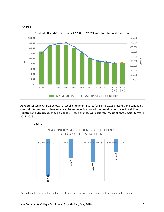



As represented in Chart 2 below, 4th week enrollment figures for Spring 2018 present significant gains over prior terms due to changes in waitlist and z‐coding procedures described on page 9, and direct registration outreach described on page 7. These changes will positively impact all three major terms in 2018‐20191 .



<sup>1</sup> Due to the different structure and nature of summer term, procedural changes will not be applied in summer.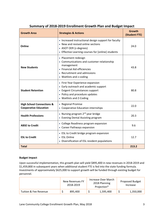| <b>Growth Area</b>                                                   | <b>Strategies &amp; Actions</b>                                                                                                                                              | <b>Growth</b><br>(Student FTE) |
|----------------------------------------------------------------------|------------------------------------------------------------------------------------------------------------------------------------------------------------------------------|--------------------------------|
| Online                                                               | • Increased instructional design support for faculty<br>• New and revised online sections<br>• ASOT OER (z-degrees)<br>• Effective Learning courses for [online] students    | 24.0                           |
| <b>New Students</b>                                                  | • Placement redesign<br>• Communications and customer relationship<br>management<br>• Financial Aid efficiencies<br>• Recruitment and admissions<br>• Waitlists and z-coding | 43.8                           |
| <b>Student Retention</b>                                             | • First Year Experience expansion<br>• Early outreach and academic support<br>• Exigent Circumstances support<br>• Policy and procedure updates<br>• Waitlists and Z-Coding  | 80.8                           |
| <b>High School Connections &amp;</b><br><b>Cooperative Education</b> | • Regional Promise<br>• Cooperative Education internships                                                                                                                    | 22.0                           |
| <b>Health Professions</b>                                            | • Nursing program 2 <sup>nd</sup> year bridge<br>• Evening Dental Assisting program                                                                                          | 20.3                           |
| <b>ABSE to Credit</b>                                                | • College Readiness program expansion<br>• Career Pathways expansion                                                                                                         | 9.6                            |
| <b>ESL to Credit</b>                                                 | • ESL to Credit bridge program expansion<br>• ESL Online<br>• Diversification of ESL resident populations                                                                    | 12.7                           |
| <b>Total</b>                                                         |                                                                                                                                                                              | 213.2                          |

# **Summary of 2018‐2019 Enrollment Growth Plan and Budget Impact**

#### **Budget Impact**

Upon successful implementation, this growth plan will yield \$895,400 in new revenues in 2018‐2019 and \$1,459,800 in subsequent years when additional student FTE is fed into the state funding formula. Investments of approximately \$625,000 to support growth will be funded through existing budget for personnel.

|                       | New Revenues FY<br>2018-2019 |  | Increase Over March<br>2018 Planning<br>Projection* | Proposed Budget<br>Increase |
|-----------------------|------------------------------|--|-----------------------------------------------------|-----------------------------|
| Tuition & Fee Revenue | 895,400                      |  | 1,595,400                                           | 1,350,000                   |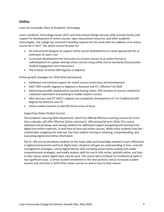# **Online**

Lead: Ian Coronado, Dean of Academic Technology

Lane's Academic Technology Center (ATC) and Instructional Design Services (IDS) provide faculty with support for development of online courses, open educational resources, and other academic technologies. The college has invested in building capacity for this work with the addition of an online course fee in 2017. The online course fee pays for:

- An Instructional Designer to support online course development at a level appropriate for an institution of Lane's size
- Curriculum development for instructors to convert courses to an online format or redevelopment to update existing online courses using online course standards that promote student engagement and interactions
- The creation of online OER degrees (z-degrees)

Online growth strategies for 2018‐2019 and beyond:

- Additional instructional support for online course conversions and development
- ASOT OER transfer degrees (z-degrees) in Business and CIT, effective Fall 2018
- Addressing possible impediments towards having online, OER versions of courses needed for credential attainment and working to enable student success
- After Business and CIT ASOT z-degrees are completed, development of 3 to 4 additional AAS degrees for Business and CIT
- Utilize market research to identify future areas of focus

#### *Supporting Online Student Success*

The Academic Learning Skills Department, which has offered Effective Learning courses for more than a decade, will offer Effective Online Learning EL 199 starting fall term 2018. This course addresses the growing need among students for additional support navigating and learning from digital and online materials, in both face‐to‐face and online courses. While many students may feel comfortable navigating the Internet, few have explicit training in retaining, comprehending, and evaluating digital and online information.

The EL 199 course introduces students to the major skills and knowledge needed to learn effectively in digital environments and from digital texts. Students will gain an understanding of time‐ and self‐ management strategies, critical digital literacy skills including active online reading and media comprehension strategies, and media analysis skills for use in fully online, partially online, and face‐ to-face classes where digital texts may be used. The course will contribute to enrollment growth in two significant ways: 1) direct student enrollment in the new sections, and 2) increased student success and retention in both other online courses as well as face‐to‐face classes.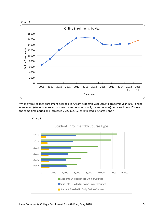



While overall college enrollment declined 45% from academic year 2012 to academic year 2017, online enrollment (students enrolled in some online courses or only online courses) decreased only 15% over the same time period and increased 2.2% in 2017, as reflected in Charts 3 and 4.

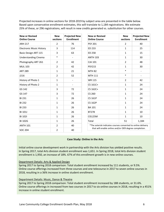Projected increases in online sections for 2018‐2019 by subject area are presented in the table below. Based upon conservative enrollment estimates, this will translate to 1,184 registrations. We estimate 25% of these, or 296 registrations, will result in new credits generated vs. substitution for other courses.

| <b>New or Revised</b><br><b>Online Course</b> | <b>New</b><br>sections | <b>Projected New</b><br><b>Enrollment</b> | <b>New or Revised</b><br><b>Online Course</b>                                                                         | <b>New</b><br>sections | <b>Projected New</b><br><b>Enrollment</b> |  |
|-----------------------------------------------|------------------------|-------------------------------------------|-----------------------------------------------------------------------------------------------------------------------|------------------------|-------------------------------------------|--|
| <b>ARH 217</b>                                | $\overline{2}$         | 76                                        | <b>PSY 201</b>                                                                                                        | 2                      | 40                                        |  |
| <b>Electronic Music History</b>               | 3                      | 114                                       | ED 233                                                                                                                | $\mathbf{1}$           | 25                                        |  |
| Basic Design ART 115                          | 3                      | 63                                        | <b>ED 258</b>                                                                                                         | $\mathbf{1}$           | 15                                        |  |
| <b>Understanding Cinema</b>                   | $\ast$                 | $\overline{\phantom{a}}$                  | <b>ANTH 103</b>                                                                                                       | $\mathbf{1}$           | 30                                        |  |
| Photography ART 261                           | $\overline{2}$         | 42                                        | CJA 101                                                                                                               | $\overline{2}$         | 48                                        |  |
| <b>MUL 103</b>                                | $\overline{2}$         | 42                                        | <b>PSY215</b>                                                                                                         | $\mathbf{1}$           | 30                                        |  |
| <b>ART 289</b>                                | $\mathbf{1}$           | 21                                        | <b>MTH 82</b>                                                                                                         | $\ast$                 | $\overline{\phantom{a}}$                  |  |
| J216                                          | $\overline{2}$         | 52                                        | <b>MTH 111</b>                                                                                                        | $\ast$                 |                                           |  |
| History of Photo 1                            | $\mathbf{1}$           | $\overline{\phantom{a}}$                  | <b>WR 115</b>                                                                                                         | $\overline{2}$         | 42                                        |  |
| History of Photo 2                            | $\mathbf{1}$           | $\overline{\phantom{a}}$                  | CS 161C+                                                                                                              | $\mathbf{1}$           | 24                                        |  |
| GS 142                                        | 3                      | 72                                        | CS 162C+                                                                                                              | $\mathbf{1}$           | 24                                        |  |
| GS 147                                        | 3                      | 72                                        | CS 260                                                                                                                | $\mathbf{1}$           | 24                                        |  |
| <b>BI 231</b>                                 | $\mathbf{1}$           | 26                                        | <b>CS 161P</b>                                                                                                        | $\mathbf{1}$           | 24                                        |  |
| <b>BI 232</b>                                 | $\mathbf{1}$           | 26                                        | <b>CS 162P</b>                                                                                                        | $\mathbf{1}$           | 24                                        |  |
| <b>BI 233</b>                                 | $\mathbf{1}$           | 26                                        | <b>BA 101</b>                                                                                                         | $\mathbf{1}$           | 24                                        |  |
| BI 101J                                       | $\mathbf{1}$           | 26                                        | <b>BT278</b>                                                                                                          | $\mathbf{1}$           | 10                                        |  |
| <b>BI 1021</b>                                | $\mathbf{1}$           | 26                                        | <b>CIS125M</b>                                                                                                        | $\mathbf{1}$           | 10                                        |  |
| <b>BI 102G</b>                                | $\mathbf{1}$           | 26                                        | Total                                                                                                                 | 51                     | 1,184                                     |  |
| <b>ANTH 101</b>                               | $\overline{2}$         | 40                                        | *The asterisk indicates courses converted to online delivery<br>that will enable online and/or OER degree completion. |                        |                                           |  |
| <b>SOC 204</b>                                | $\overline{2}$         | 40                                        |                                                                                                                       |                        |                                           |  |

#### **Case Study: Online in the Arts**

Initial online course development work in partnership with the Arts division has yielded positive results. In Spring 2017, total Arts division student enrollment was 1,651. In Spring 2018, total Arts division student enrollment is 1,950, an increase of 18%. 67% of this enrollment growth is in new online courses.

#### Department Details: Arts & Applied Design

Spring 2017 to Spring 2018 comparison: Total student enrollment increased by 111 students, or 9.5%. Online course offerings increased from three courses and one telecourse in 2017 to seven online courses in 2018, resulting in a 36% increase in online student enrollment.

# Department Details: Music, Dance & Theatre

Spring 2017 to Spring 2018 comparison: Total student enrollment increased by 188 students, or 31.6%. Online course offerings in increased from two courses in 2017 to six online courses in 2018, resulting in a 451% increase in online student enrollment.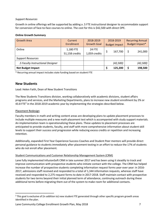#### *Support Resources*

Growth in online offerings will be supported by adding a .5 FTE instructional designer to accommodate support for conversion of face-to-face courses to online. The cost for this is \$42,500 with direct OPE.

#### **Online Growth Summary**

| <b>Growth Area</b>                | Current<br>Enrollment       | 2018-2019<br><b>Growth Goal</b> | 2018-2019<br><b>Budget Impact</b> | <b>Recurring Annual</b><br>Budget Impact* |
|-----------------------------------|-----------------------------|---------------------------------|-----------------------------------|-------------------------------------------|
| Online                            | 1,180 FTE<br>51,158 credits | <b>24 FTE</b><br>1,059 credits  | 167,700                           | 241,000                                   |
| <b>Support Resources</b>          |                             |                                 |                                   |                                           |
| .5 Faculty Instructional Designer |                             |                                 | (42, 500)                         | (42, 500)                                 |
| <b>Net Budget Impact</b>          |                             |                                 | 125,200                           | 198,500                                   |

\* Recurring annual impact includes state funding based on student FTE

# **New Students**

Lead: Helen Faith, Dean of New Student Transitions

The New Students Transitions division, working collaboratively with academic divisions, student affairs programs and services, and the Marketing Departments, plans to increase new student enrollment by 2% or 43.8 FTE<sup>2</sup> in the 2018-2019 academic year by implementing the strategies described below.

# Placement Redesign

Faculty members in math and writing content areas are developing plans to update placement processes to include multiple measures and a new math placement test which is accompanied with study support materials. An implementation team is operationalizing these plans. These updates to placement processes are anticipated to provide students, faculty, and staff with more comprehensive information about student skill levels to support their success and progression while reducing excess credits or repetition and increasing retention.

Additionally, expanded First Year Experience Success Coaches and Student Peer mentors will provide direct personal guidance to students immediately after placement testing in an effort to reduce the 17% of students who do not enroll after placement.

# Student Communications and Customer Relationship Management System (CRM)

Lane fully implemented InfusionSoft CRM in late summer 2017 and has been using it steadily to track and improve communication with prospective students who initiate contact with the college. The CRM has helped increase the number of prospective students completing information request forms year-over year: in 2016-2017, admissions staff received and responded to a total of 1,344 information requests, whereas staff have received and responded to 2,275 request forms to date in 2017‐2018. Staff maintain contact with prospective students for two terms beyond their initial planned term of attendance, continuing outreach during these additional terms before migrating them out of the system to make room for additional contacts.

 $2$  This goal is exclusive of (in addition to) new student FTE generated through other specific program growth areas identified in the plan.

Lane Community College Enrollment Growth Plan, May 2018 7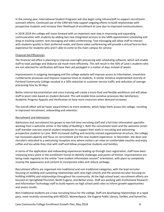In the coming year, International Student Programs will also begin using InfusionSoft to support recruitment outreach efforts. Continued use of the CRM will help support ongoing efforts to build relationships with prospective students and increase their likelihood of enrollment at Lane due to improved communications.

In 2018-2019 the college will move forward with an important next step in improving and expanding communication with students by adding two new integrated services to the SARS appointment scheduling and drop‐in tracking system: text messaging and video conferencing. Text messaging will allow staff to interact with students quickly in their preferred mode, and Zoom video conferencing will provide a virtual face‐to‐face experience for students who aren't able to come to the main campus for service.

#### Financial Aid Efficiencies

The financial aid office is planning to improve overnight processing with scheduling software, which will enable staff to load, package and disburse aid much more efficiently. This will result in the 50% of Lane's students who are not selected for verification will have their aid packaged in a matter of days instead of weeks.

Improvements in outgoing messaging and the college website will improve access to information, streamline cumbersome processes and improve response times to students. A similar initiative implemented recently at Portland Community College resulted in a 30% reduction in customer service traffic and reduction of average processing time by 30 days.

Better internal documentation and cross‐training will create a more fluid and flexible workforce and will allow staff to pivot roles based on student demand. This will enable time‐sensitive processes like Satisfactory Academic Progress Appeals and Verification to have more resources when demand increases.

The overall effect will be faster award letters to more students, which helps them access the college, resulting in improved recruitment, onboarding and retention.

#### Recruitment and Admissions

Admissions and recruitment has grown to two full‐time recruiting staff and a full‐time information specialist working from a welcome center in the lobby of Building 1. Both the recruitment team and the welcome center staff member oversee several student employees to support their work in recruiting and welcoming prospective students to Lane. With increased staffing and recently revised organizational structure, the college has increased capacity and focus on recruitment and the new student experience. In December, the dean and recruiters relocated to a welcoming reception area where visitors can relax on comfortable couches and enjoy coffee and tea while they chat with staff and fellow prospective students and families.

In terms of the application and onboarding experiences leading up through class registration, staff have been reviewing every point in the enrollment funnel to identify challenges and points of friction. Improvements are being made regularly to the online "new student information session" orientation, with plans to completely revamp the appearance and content to incorporate video and reduce verbiage.

Recruitment efforts are organized into traditional and non-traditional categories, with the lead recruiter focusing on building and sustaining relationships with area high schools and the second recruiter focusing on building visibility and relationships throughout the community. At the high school level, recruitment efforts are focused on Springfield/Thurston, North Eugene, and Bethel areas. Staff are working with Institutional Research and Information Technology staff to build reports on high school yield rates to inform growth opportunities and assess results.

Non‐traditional students are a new recruiting focus for the college. Staff are developing relationships at a rapid pace, most recently connecting with NEDCO, WomenSpace, the Eugene Public Library, VetNet, and SymanTec.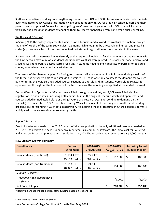Staff are also actively working on strengthening ties with both UO and OSU. Recent examples include the first‐ ever Willamette Valley College Information Night collaboration with UO for area high school juniors and their parents, and an updated Degree Partnership Program Consortium Agreement with OSU that will increase flexibility and access for students by enabling them to receive financial aid from Lane while dually enrolling.

# Waitlists and Z-Coding<sup>3</sup>

In Spring 2018 the college implemented waitlists on all courses and allowed the waitlists to function through the end of Week 1 of the term, set waitlist maximums high enough to be effectively unlimited, and placed zcodes (a procedure which closes the course to direct student registration) on courses later in the week.

Previously, waitlists were used inconsistently at the request of individual faculty members or departments with the limit set to a maximum of 5 students. Additionally, waitlists were purged (i.e., closed or made inactive) and z‐coding was done *before* classes started resulting in students needing individual faculty permission to add a course, even when the course had available seats.

The results of the changes applied for Spring term were: 1) if a seat opened in a full course during Week 1 of the term, students were able to register via the waitlist, 2) Deans were able to assess the demand for courses by monitoring the waitlists and added courses sections as a result, and 3) students were able to register for open courses throughout the first week of the term because the z-coding was applied at the end of the week.

During Week 1 of Spring term, 373 seats were filled through the waitlist, and 1,008 seats filled via direct registration in open classes (including both courses built in the original schedule which had open seats and courses added immediately before or during Week 1 as a result of Deans responding to demand on the waitlists). This is a total of 1,381 seats filled during Week 1 as a result of the changes in waitlist and z-coding procedures, representing 7.5% of total registration. Maintaining these procedures in future academic terms is anticipated to create sustained enrollment growth.

#### *Support Resources*

Due to investments made in the 2017 Student Affairs reorganization, the only additional resource needed in 2018‐2019 to achieve the new student enrollment goal is in computer software. The initial cost for SARS text and video conferencing purchase and installation is \$4,000. The recurring maintenance cost is \$1,000 per year.

| <b>Growth Area</b>                      | Current<br>Enrollment         | 2018-2019<br><b>Growth Goal</b> | 2018-2019<br><b>Budget Impact</b> | <b>Recurring Annual</b><br>Budget Impact* |
|-----------------------------------------|-------------------------------|---------------------------------|-----------------------------------|-------------------------------------------|
| New students (traditional)              | 1,134.4 FTE<br>45,109 credits | 22.7 FTE<br>902 credits         | \$<br>117,300                     | 185,300<br>\$                             |
| New students (non-traditional)          | 1,053.5 FTE<br>40,347 credits | 21.1 FTE<br>807 credits         | 104,900                           | 168,100                                   |
| <b>Support Resources</b>                |                               |                                 |                                   |                                           |
| Text and video conferencing<br>software |                               |                                 | (4,000)                           | (1,000)                                   |
| <b>Net Budget Impact</b>                |                               |                                 | c<br>218,200                      | 352,400<br>S                              |

#### **New Student Growth Summary**

\* Recurring annual impact includes state funding based on student FTE

Lane Community College Enrollment Growth Plan, May 2018 9

 <sup>3</sup> Also supports Student Retention growth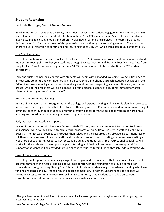# **Student Retention**

#### Lead: Lida Herburger, Dean of Student Success

In collaboration with academic divisions, the Student Success and Student Engagement Divisions are planning several initiatives to increase student retention in the 2018‐2019 academic year. Some of these initiatives involve scaling up existing models and others involve new programs and services. The teams are broadly defining retention for the purposes of this plan to include continuing and returning students. The goal is to improve overall retention of continuing and returning students by 2%, which translates to 80.8 student FTE<sup>4</sup>.

# First Year Experience

The college will expand its successful First Year Experience (FYE) program to provide additional relational and momentum touchpoints to first year students through Success Coaches and Student Peer Mentors. Data from the pilot First Year Experience program show a 14.5% increase in term to term retention for FYE student participants.

Early and sustained personal contact with students will begin with expanded Welcome Day activities open to all new Lane students and continue through in‐person, email, and phone outreach. Required activities in the FYE online classroom will guide students in making sound decisions regarding academic, financial, and career arenas. One of the areas that will be expanded is direct personal guidance to students immediately after placement testing as described on page 7.

# Advising and Academic Planning

As part of its student affairs reorganization, the college will expand advising and academic planning services to include Welcome Day activities that start students thinking in Career Communities, and momentum advising at key milestones throughout a student's program of study. Longer term, the college is working toward annual advising and coordinated scheduling between programs of study.

# Early Outreach and Academic Support

Academic departments with Resource Centers (Math, Writing, Business, Computer Information Technology, and Science) will develop Early Outreach Referral programs whereby Resource Center staff will make initial brief visits to first week courses to introduce themselves and the resources they provide. Department faculty will then provide referrals to center staff for students who are not demonstrating course success starting in week three of each term. Resource Center staff, including additional part-time Instructional Specialists, will work with the students to develop action plans, tutoring and feedback, and regular follow up. Additional support for students will be provided through expanded student tutors funded through Federal Work Study.

# Exigent Circumstances Support

The college will support students facing exigent and unplanned circumstances that may prevent successful accomplishment of their goals. The college will collaborate with the foundation to provide completion scholarships through existing Shining Star Scholarship funds for students in good academic standing who have funding challenges and 12 credits or less to degree completion. For other support needs, the college will promote access to community resources by inviting community organizations to provide on‐campus consultation, support and wraparound services using existing campus spaces.

Lane Community College Enrollment Growth Plan, May 2018 10

<sup>4</sup> This goal is exclusive of (in addition to) student retention increases generated through other specific program growth areas identified in the plan.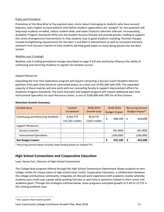#### Policy and Procedure

Promotion of the New Way to Pay payment plan, more robust messaging to students who have account balances, and a higher account balance limit before student registrations are "purged" for non‐payment will help keep students enrolled, reduce student debt, and lower financial collection referrals. Incorporating Academic Progress Standards (APS) into the Student Success Division will provide greater staffing to support this series of progressive interventions to help students stay in good academic standing. Planned changes include strengthening requirements for the Alert 1 and Alert 2 interventions as well as increased and early outreach from Success Coaches to help students develop good habits to avoid being placed into the Alert system.

# Waitlists and Z‐Coding5

Waitlists and Z‐Coding procedural changes described on page 9 will also positively influence the ability of continuing and returning students to register for needed courses.

# *Support Resources*

Expanding the First Year Experience program will require converting 2 Success Coach (Student Advisor) positions from part‐time hourly to contracted status, at a total cost of \$91,000 with OPE. The expanded capacity of these coaches will also work with our counseling faculty in support improvement efforts for Academic Progress Standards. The Early Outreach and Support program will require additional part‐time Instructional Specialists for each Resource Center, a cost of \$100,000 with OPE for all five Centers.

#### **Retention Growth Summary**

| <b>Growth Area</b>                | Current<br><b>Enrollment</b> | 2018-2019<br><b>Growth Goal</b> | 2018-2019<br><b>Budget Impact</b> | <b>Recurring Annual</b><br>Budget Impact* |
|-----------------------------------|------------------------------|---------------------------------|-----------------------------------|-------------------------------------------|
| Continuing and Returning Students | 4,042 FTE<br>141,591 credits | 80.8 FTE<br>2,832 credits       | 368,100<br>\$                     | 610,600                                   |
| <b>Support Resources</b>          |                              |                                 |                                   |                                           |
| <b>Success Coaches</b>            |                              |                                 | (91,000)                          | (91,000)                                  |
| <b>Instructional Specialists</b>  |                              |                                 | (100,000)                         | (100,000)                                 |
| <b>Net Budget Impact</b>          |                              |                                 | 291,100                           | 654,900                                   |

\* Recurring annual impact includes state funding based on student FTE

# **High School Connections and Cooperative Education**

Lead: Deron Fort, Director of High School Connections

The College Now program offered through the High School Connections Department allows students to earn college credits for classes taken at high school (dual credit). Cooperative Education, a collaboration between the college and business community, integrates on‐the‐job work experience with academic studies whereby students earn credit and a grade while working full‐time or part‐time in positions related to their career and academic goals. Through the strategies outlined below, these programs anticipate growth of 2.4% or 22 FTE in the coming academic year.

 <sup>5</sup> Also supports New Student growth

Lane Community College Enrollment Growth Plan, May 2018 11 11 11 12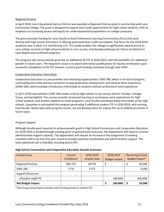#### Regional Promise

In April 2018, Lane Educational Service District was awarded a Regional Promise grant in partnership with Lane Community College. The grant is designed to expand dual credit opportunities for high school students, with an emphasis on increasing access and equity for underrepresented populations on college campuses.

The grant provides funding for Lane faculty to lead Professional Learning Communities (PLCs) that work directly with high school instructors in offering sponsored dual credit coursework. The focus for the 2018‐2019 academic year is Math 111 and Writing 121. This model enables the college to significantly expand access to core college curricula to high school students in Lane county, and develop pathways for future enrollment in Lane degree and certificate programs.

This program will conservatively generate an additional 20 FTE in 2018‐2019, with the possibility for additional growth in future years. The long‐term vision is to award alternative qualifications for faculty certification upon successful completion of the PLC process. Current grant funding continues through June 2019.

#### Cooperative Education Internships

Cooperative Education at Lane provides two internship opportunities: GWE 280, which is an end of program, culminating internship and key connector to post‐graduation employment; and General Work Experience (GWE) 180, which provides introductory internships to students without professional work experience.

In 2017‐2018 Lane piloted a GWE 180 model at three high schools in our service district: Siuslaw, Cottage Grove, and Springfield. The courses provide structured learning to accompany work experiences for high school students, and another pipeline to credit programs. Lane faculty coordinate these internships at the high schools. Expansion is anticipated this program generating 2 additional student FTE in 2018‐2019, with existing Lane faculty. Based upon pilot program results, we will develop plans for scaling this up to additional schools in future years.

# *Program Support*

Although faculty work required to achieve growth goals in High School Connections and Cooperative Education for 2018‐2019 is funded through existing grant or general fund resources, the department will need to increase administrative support capacity. The department will require an increase in the assignment of existing classified staff to be full‐time year round to provide essential coordination and administrative support. The total additional cost is \$40,000, including direct OPE.

#### **High School Connections and Cooperative Education Growth Summary**

| <b>Growth Area</b>       | Current<br>Enrollment | 2018-2019<br><b>Growth Goal</b> | 2018-2019                      | <b>Recurring Annual</b><br>Budget Impact* |
|--------------------------|-----------------------|---------------------------------|--------------------------------|-------------------------------------------|
|                          |                       |                                 | <b>Budget Impact</b>           |                                           |
| <b>Regional Promise</b>  | <b>905 FTE</b>        | <b>20 FTE</b>                   | \$<br>$\overline{\phantom{0}}$ | 60,000                                    |
| <b>GWE 180</b>           | 7 FTE                 | 2 FTE                           | $\overline{\phantom{a}}$       | 6,000                                     |
| <b>Support Resources</b> |                       |                                 |                                |                                           |
| Classified staff FTE     |                       |                                 | (40,000)                       | (40,000)                                  |
| <b>Net Budget Impact</b> |                       |                                 | (40,000)                       | 26,000                                    |

\* Recurring annual impact includes state funding based on student FTE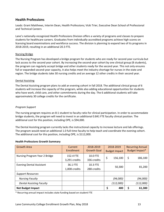# **Health Professions**

Leads: Grant Matthews, Interim Dean, Health Professions; Vicki Trier, Executive Dean School of Professional and Technical Careers

Lane's nationally‐recognized Health Professions Division offers a variety of programs and classes to prepare students for healthcare careers. Graduates from individually‐accredited programs achieve high scores on licensing board examinations and workforce success. The division is planning to expand two of its programs in 2018‐2019, resulting in an additional 20.3 FTE.

## Nursing Bridge

The Nursing Program has developed a bridge program for students who are ready for second year curricula but lack access to the second year cohort. By increasing the second‐year cohort by one clinical group (8 students), the program can regularly accept bridge and other students ready for the second year. This not only ensures full or expanded second‐year capacity, it also helps meet the industry shortage for nurses in the state and region. The bridge students take 30 nursing credits and an average 12 other credits in their second year.

#### Dental Assisting

The Dental Assisting program plans to add an evening cohort in fall 2018. The additional clinical group of 6 students will increase the capacity of the program, while also adding educational opportunities for students who have work, child care, and other commitments during the day. The 6 additional students will take approximately 30 college credits for the certificate.

## *Program Support*

The nursing program requires an 8:1 student to faculty ratio for clinical participation. In order to accommodate bridge students, the program will need to invest in an additional 0.841 FTE faculty clinical position. The additional cost for this position, including OPE, is \$94,000.

The Dental Assisting program currently lacks the instructional capacity to increase lecture and lab offerings. The program would need an additional 1.0 full-time faculty to help teach and coordinate the evening cohort. The additional cost for this position, including OPE, is \$112,000.

#### **Health Professions Growth Summary**

| <b>Growth Area</b>              | Current<br>Enrollment | 2018-2019<br><b>Growth Goal</b> | 2018-2019<br><b>Budget Impact</b> | <b>Recurring Annual</b><br>Budget Impact* |
|---------------------------------|-----------------------|---------------------------------|-----------------------------------|-------------------------------------------|
| Nursing Program Year 2 Bridge   | 152.4 FTE             | 10.0 FTE                        |                                   |                                           |
|                                 | 3,291 credits         | 336 credits                     | \$<br>156,100                     | \$<br>186,100                             |
| <b>Evening Dental Assistant</b> | 36.1 FTE              | 10.3 FTE                        |                                   |                                           |
|                                 | 1,008 credits         | 288 credits                     | 50,300                            | 81,200                                    |
| <b>Support Resources</b>        |                       |                                 |                                   |                                           |
| <b>Nursing Faculty</b>          |                       |                                 | (94,000)                          | (94,000)                                  |
| <b>Dental Assisting Faculty</b> |                       |                                 | (112,000)                         | (112,000)                                 |
| <b>Net Budget Impact</b>        |                       |                                 | \$<br>400                         | 61,300                                    |

\* Recurring annual impact includes state funding based on student FTE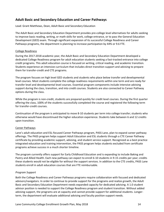# **Adult Basic and Secondary Education and Career Pathways**

Lead: Grant Matthews, Dean, Adult Basic and Secondary Education

The Adult Basic and Secondary Education Department provides pre‐college level alternatives for adults seeking to improve basic reading, writing, or math skills for work, college entrance, or to pass the General Education Development (GED) exam. Through significant expansion of its successful College Readiness and Career Pathways programs, the department is planning to increase participation by 44% or 9.6 FTE.

#### College Readiness

During the 2017‐2018 academic year, the Adult Basic and Secondary Education Department developed a dedicated College Readiness program for adult education students seeking a fast-tracked entrance into college credit programs. This adult education course is focused on writing, critical reading, and academic transition. Students experience an intensive curriculum that includes direct transition support and advising to prepare them for transfer‐credit and CTE programs.

The program focuses on high level GED students and students who place below transfer and developmental level courses. Most students complete the college readiness requirements within one term and are ready for transfer level and developmental level courses. Essential program components include intensive advising support during the class, transition, and into credit courses. Students are also connected to Career Pathway options during the class.

While the program is non-credit, students are prepared quickly for credit level courses. During the first quarter offering the class, 100% of the students successfully completed the course and registered the following term for transfer‐credit courses.

Continuation of the program is anticipated to move 8‐10 students per term into college transfer; students who otherwise would have discontinued the higher education experience. Students take between 6 and 12 credits upon transition.

# Career Pathways

Lane's adult education and ESL‐focused Career Pathways program, PASS Lane, plan to expand career pathway offerings. The PASS program helps support Adult Education and ESL students through a CTE Career Pathway certificate by providing academic support, advising, and student service support. Recognized as a best practice integrated education and training intervention, the PASS program helps students excluded from certificate programs achieve success in a much shorter timeline.

The program currently offers support for Early Childhood Education and is expanding to include Baking and Pastry and Allied Health. Each new pathway can expect to enroll 6‐10 students in 9‐15 credits per year; credits these students would not be eligible for without the support services. In addition to the CTE credits, PASS Lane students enroll in adult education courses that are FTE reimbursable.

# *Program Support*

Both the College Readiness and Career Pathways programs require collaboration with focused and dedicated advisors/navigators. In order to continue to provide support for the programs and realize growth, the Adult Basic and Secondary Education Department needs expanded capacity for dedicated advising. A 1.0 student advisor position is needed to support the College Readiness program and student transition. Without added advising support, the programs are at capacity and cannot provide support for additional students. Longer‐ term, the department will evaluate additional advising and faculty position support needs.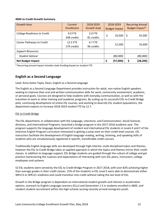#### **ABSE to Credit Growth Summary**

| <b>Growth Area</b>                 | Current<br>Enrollment   | 2018-2019<br><b>Growth Goal</b> | 2018-2019<br><b>Budget Impact</b> | <b>Recurring Annual</b><br>Budget Impact* |
|------------------------------------|-------------------------|---------------------------------|-----------------------------------|-------------------------------------------|
| <b>College Readiness to Credit</b> | 9.0 FTE<br>248 credits  | 2.9 FTE<br>81 credits           | \$<br>10,500                      | \$<br>19,200                              |
| Career Pathways to Credit          | 12.5 FTE<br>179 credits | 6.7 FTE<br>96 credits           | 12,500                            | 32,600                                    |
| <b>Support Resources</b>           |                         |                                 |                                   |                                           |
| <b>Student Advisor</b>             |                         |                                 | (80,000)                          | (80,000)                                  |
| <b>Net Budget Impact</b>           |                         |                                 | (57,000)<br>Ś                     | (28, 200)                                 |

\* Recurring annual impact includes state funding based on student FTE

# **English as a Second Language**

#### Lead: Anna Gates‐Tapia, Dean, English as a Second Language

The English as a Second Language Department provides instruction for adult, non‐native English speakers seeking to improve their oral and written communication skills for work, community involvement, academic, or personal goals. Courses are designed to help students with everyday communication, as well as with the transition to work or other training and academic programs. By scaling up its successful ESL to Credit Bridge pilot, continuing development of online ESL courses, and working to diversify ESL student populations, the department expects to increase 2018‐2019 student FTE by 12.7.

#### ESL to Credit Bridge

The ESL department, in collaboration with the Language, Literature, and Communication, Social Sciences divisions, and International Programs, launched a bridge program in the 2017‐2018 academic year. The program supports the language development of resident and international ESL students in Levels E and F of the Intensive English Program curriculum interested in getting a jump‐start on their credit level courses. ESL instructors facilitate the development of English language reading, writing, listening, and speaking skills of students who are simultaneously registered in specific, transferable credit courses.

Traditionally English language skills are developed through high‐interest, multi‐disciplined topics and themes, however the ESL to Credit Bridge takes an applied approach in which the topics and themes mirror their credit classes. In addition to language support, ESL Bridge students are guided through the culture of college and get practice maneuvering the nuances and expectations of interacting with non‐ESL peers, instructors, college employees and systems.

52 ESL students were served by the ESL to Credit Bridge Program in 2017‐2018, with over 82% achieving higher than average grades in their credit classes. 15% of the students in ESL Level E were able to demonstrate either WR115 or WR121 readiness and could transition into credit without taking the last level of ESL.

Growth in the Bridge program is dependent on international student growth and interest in acceleration options, outreach to English Language Learners (ELLs) and Generation 1.5 in students enrolled in ABSE, and resident student recruitment within the high-schools serving recently arrived immigrant youth.